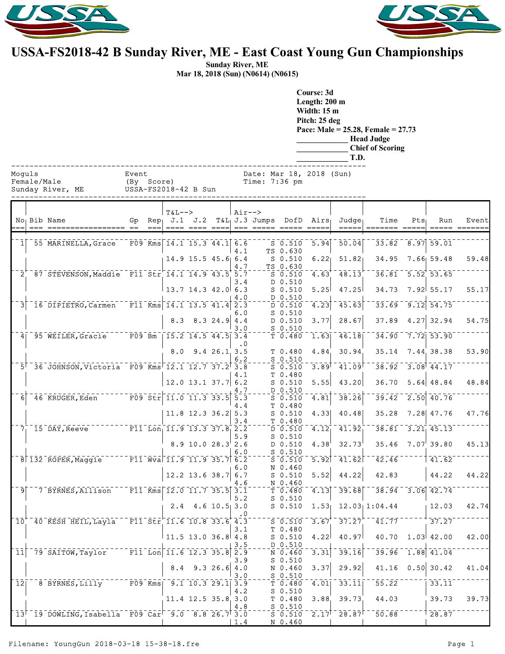



## **USSA-FS2018-42 B Sunday River, ME - East Coast Young Gun Championships**

**Sunday River, ME Mar 18, 2018 (Sun) (N0614) (N0615)**

|          |             |                                                                                                                          |                     |        |                                                                                                                                                                                                                                                                                              |                          |             |               |                                                                                                                         | Course: 3d<br>Length: 200 m<br><b>Width: 15 m</b><br>Pitch: 25 deg | T.D.           | Pace: Male = $25.28$ , Female = $27.73$<br><b>Head Judge</b><br><b>Chief of Scoring</b>   |         |                        |       |
|----------|-------------|--------------------------------------------------------------------------------------------------------------------------|---------------------|--------|----------------------------------------------------------------------------------------------------------------------------------------------------------------------------------------------------------------------------------------------------------------------------------------------|--------------------------|-------------|---------------|-------------------------------------------------------------------------------------------------------------------------|--------------------------------------------------------------------|----------------|-------------------------------------------------------------------------------------------|---------|------------------------|-------|
| Moquls   | Female/Male | Sunday River, ME                                                                                                         | Event<br>(By Score) |        | USSA-FS2018-42 B Sun                                                                                                                                                                                                                                                                         |                          |             | Time: 7:36 pm |                                                                                                                         | Date: Mar 18, 2018 (Sun)                                           |                |                                                                                           |         |                        |       |
|          |             | No <sub>1</sub> Bib Name                                                                                                 |                     | $== =$ | $T&L-->$<br>Gp Rep $J.1$ $J.2$                                                                                                                                                                                                                                                               |                          |             | $Air--$       |                                                                                                                         | $T&L_1J.3$ Jumps DofD Airs<br>=== ===== ===== ====                 | Judge<br>----- | Time                                                                                      | $Pts_1$ | Run                    | Event |
|          |             | 1 55 MARINELLA, Grace                                                                                                    |                     |        | F09 Kms $14.1$ 15.3 44.1 6.6                                                                                                                                                                                                                                                                 |                          | 4.1         |               | $S$ 0.510<br>TS 0.630                                                                                                   | 5.94                                                               | 50.04          |                                                                                           |         | 33.82 8.97 59.01       |       |
|          |             |                                                                                                                          |                     |        |                                                                                                                                                                                                                                                                                              | 14.9 15.5 45.6 6.4       | 4.7         |               | $S$ 0.510<br>TS 0.630                                                                                                   | 6.22                                                               | 51.82          | 34.95                                                                                     |         | $7.66$ 59.48           | 59.48 |
|          |             | 2 87 STEVENSON, Maddie F11 Str 14.1 14.9 43.5 5.7                                                                        |                     |        |                                                                                                                                                                                                                                                                                              |                          | 3.4         |               | $S = 0.510$<br>D 0.510                                                                                                  | 4.63                                                               | 48.13          |                                                                                           |         | $36.81 - 5.52$ 53.65   |       |
|          |             |                                                                                                                          |                     |        |                                                                                                                                                                                                                                                                                              | $13.7$ 14.3 42.0 6.3     | 4.0         |               | $S$ 0.510<br>D 0.510                                                                                                    | 5.25                                                               | 47.25          | 34.73                                                                                     |         | $7.92 \mid 55.17$      | 55.17 |
| 3        |             | 16 DIPIETRO, Carmen                                                                                                      |                     |        | $\overline{F11}$ Kms 14.1 13.5 41.4 2.3                                                                                                                                                                                                                                                      |                          | 6.0         |               | $D - 0.510$<br>$S$ 0.510                                                                                                | $\left[4.23\right]$                                                | 45.63          |                                                                                           |         | $33.69 - 9.12$ $54.75$ |       |
|          |             |                                                                                                                          |                     |        |                                                                                                                                                                                                                                                                                              | $8.3$ $8.3$ $24.9$ $4.4$ | 3.0         |               | D 0.510<br>$S$ 0.510                                                                                                    | 3.77                                                               | 28.67          |                                                                                           |         | $37.89$ 4.27 32.94     | 54.75 |
|          |             | 4 95 WEILER, Gracie                                                                                                      | $F09$ Bm            |        | $\overline{15.2}$ $\overline{14.5}$ $\overline{44.5}$ $\overline{3.4}$                                                                                                                                                                                                                       |                          | . 0         |               | T 0.480                                                                                                                 | 1.63                                                               | 46.18          |                                                                                           |         | $34.90 - 7.72$ 53.90   |       |
|          |             |                                                                                                                          |                     |        |                                                                                                                                                                                                                                                                                              | $8.0$ $9.4$ $26.1$ $3.5$ | 6.2         |               | T 0.480<br>$S_0.510$                                                                                                    | 4.84                                                               | 30.94          | 35.14                                                                                     |         | 7.44, 38.38            | 53.90 |
|          |             | 5 36 JOHNSON, Victoria F09 Kms 12.1 12.7 37.2 3.8                                                                        |                     |        |                                                                                                                                                                                                                                                                                              |                          |             |               | $S$ 0.510                                                                                                               | $3.89$ <sup>T</sup>                                                | 41.09          |                                                                                           |         | $38.92 - 3.08$ 44.17   |       |
|          |             |                                                                                                                          |                     |        |                                                                                                                                                                                                                                                                                              | $12.0$ 13.1 37.7 6.2     | 4.1         |               | T 0.480<br>$S$ 0.510                                                                                                    | 5.55                                                               | 43.20          | 36.70                                                                                     |         | $5.64$ 48.84           | 48.84 |
| $6 \mid$ |             | 46 KRUGER, Eden                                                                                                          |                     |        | $F09$ $Str$ $11.0$ $11.3$ $33.5$                                                                                                                                                                                                                                                             |                          | 4.7<br>5.3  |               | D 0.510<br>$S = 0.510$                                                                                                  | 4.81                                                               | 38.26          | 39.42                                                                                     |         | $\sqrt{2.50}$ 40.76    |       |
|          |             |                                                                                                                          |                     |        |                                                                                                                                                                                                                                                                                              | $11.8$ 12.3 36.2 5.3     | 4.4         |               | T 0.480<br>$S$ 0.510                                                                                                    | 4.33                                                               | 40.48          | 35.28                                                                                     |         | 7.28 47.76             | 47.76 |
|          |             | $71$ 15 DAY, Reeve                                                                                                       |                     |        | $\overline{F11}$ Lon <sub>1</sub> 11.9 13.3 37.8 2.2                                                                                                                                                                                                                                         |                          | 3.4         |               | T 0.480<br>$\overline{D}$ $\overline{0.510}$                                                                            | $\overline{4.12}$                                                  | 41.92          |                                                                                           |         | $38.81 - 3.21$ 45.13   |       |
|          |             |                                                                                                                          |                     |        |                                                                                                                                                                                                                                                                                              | $8.9$ 10.0 28.3 2.6      | 5.9         |               | $S$ 0.510<br>D 0.510                                                                                                    | 4.38                                                               | 32.73          |                                                                                           |         | $35.46$ $7.07$ 39.80   | 45.13 |
|          |             | $8$ $\overline{132}$ $\overline{R}$ OPER, Maggie                                                                         |                     |        | $\overline{r}$ $\overline{r}$ $\overline{1}$ $\overline{w}$ $\overline{v}$ $\overline{a}$ $\overline{1}$ $\overline{1}$ $\overline{0}$ $\overline{9}$ $\overline{1}$ $\overline{1}$ $\overline{0}$ $\overline{3}$ $\overline{5}$ $\overline{7}$ $\overline{6}$ $\overline{2}$ $\overline{2}$ |                          | 6.0         |               | $S_0.510$<br>$5 - 510$                                                                                                  |                                                                    |                | $\overline{5.92}$ $\overline{41.62}$ $\overline{42.46}$ $\overline{4}$                    |         | 141.62                 |       |
|          |             |                                                                                                                          |                     |        |                                                                                                                                                                                                                                                                                              | $12.2$ 13.6 38.7 6.7     | 6.0         |               | N 0.460<br>$S_0.510$                                                                                                    | 5.52                                                               | 44.22          | 42.83                                                                                     |         | 44.22                  | 44.22 |
|          |             | $-9$ 7 BYRNES, Allison F11 Kms 12.0 11.7 35.5 3.1                                                                        |                     |        |                                                                                                                                                                                                                                                                                              |                          | 4.6         |               | N 0.460<br>$T$ 0.480                                                                                                    | 4.13                                                               |                | $39.68$ <sup>-38.94</sup> 3.06 42.74                                                      |         |                        |       |
|          |             |                                                                                                                          |                     |        |                                                                                                                                                                                                                                                                                              | $2.4$ 4.6 10.5 3.0       | 5.2         |               | $S$ 0.510<br>$S$ 0.510                                                                                                  |                                                                    |                | $1.53$ $12.03$ $1:04.44$ $12.03$                                                          |         |                        | 42.74 |
|          |             | $10^{+1}$ 40 KESH HEIL, Layla F11 Str 11.6 10.8 33.6 4.3                                                                 |                     |        |                                                                                                                                                                                                                                                                                              |                          | $\cdot$ 0   |               | $\overline{\mathsf{s}}$ $\overline{\mathsf{0}}$ $\overline{\mathsf{s}}$ $\overline{\mathsf{1}}$ $\overline{\mathsf{0}}$ | $\overline{3.67}$                                                  | 37.27          | $-41.77$ $  -$                                                                            |         | 37.27                  |       |
|          |             |                                                                                                                          |                     |        | $11.5$ 13.0 36.8 4.8                                                                                                                                                                                                                                                                         |                          | 3.1         |               | T 0.480<br>$S$ 0.510                                                                                                    | 4.22                                                               | 40.97          |                                                                                           |         | $40.70$ $1.03$ $42.00$ | 42.00 |
|          |             | $\lceil 11 \rceil$ 79 SAITOW, Taylor $\lceil 11 \rceil$ . $\lceil 11 \rceil$ 6 $\lceil 12 \rceil$ 35.8 $\lceil 2 \rceil$ |                     |        |                                                                                                                                                                                                                                                                                              |                          | 3.5         |               | D 0.510<br>$N$ 0.460                                                                                                    | $\overline{3.31}$                                                  | 39.16          | $-39.96 - 1.88$ 41.04                                                                     |         |                        |       |
|          |             |                                                                                                                          |                     |        |                                                                                                                                                                                                                                                                                              | $8.4$ 9.3 26.6 4.0       | 3.9         |               | $S$ 0.510<br>N 0.460                                                                                                    | 3.37                                                               | 29.92          |                                                                                           |         | $41.16$ 0.50 30.42     | 41.04 |
|          |             | $12$ <sup>-8</sup> BYRNES, Lilly <sup>-----</sup> F09 Kms  9.1 10.3 29.1 3.9                                             |                     |        |                                                                                                                                                                                                                                                                                              |                          | 3.0         |               | $S$ 0.510<br>$\bar{T}$ $\bar{0}$ .480 $\bar{0}$                                                                         | $\overline{4.01}$                                                  |                | $33.11$ <sup>--</sup> 55.22 <sup>---</sup>                                                |         | $33.11$ <sup>-</sup>   |       |
|          |             |                                                                                                                          |                     |        |                                                                                                                                                                                                                                                                                              | 11.4 12.5 35.8 3.0       | 4.2         |               | $S_0.510$<br>T 0.480                                                                                                    | 3.88                                                               | 39.73          | 44.03                                                                                     |         | 39.73                  | 39.73 |
|          |             | $13$ <sup>r-19</sup> DOWLING, Isabella F09 Car <sup>r-9</sup> .0 8.8 26.7 <sup>†</sup> 3.0                               |                     |        |                                                                                                                                                                                                                                                                                              |                          | 4.8         |               | $-  5 - 0.510$<br>$S^{\text{-}}\overline{S}$ $\overline{0.510}$                                                         |                                                                    |                | $-2.17$ <sup>+</sup> $-28.87$ <sup>+-<math>-50.88</math>-----+<math>28.87</math>---</sup> |         |                        |       |
|          |             |                                                                                                                          |                     |        |                                                                                                                                                                                                                                                                                              |                          | $\vert 1.4$ |               | N 0.460                                                                                                                 |                                                                    |                |                                                                                           |         |                        |       |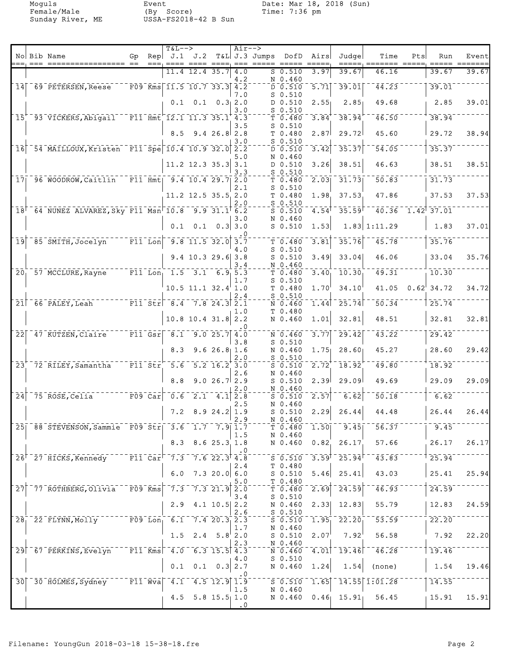Moguls Event Date: Mar 18, 2018 (Sun)

|                  |                                                                                    |                                                |      | $T&L-->$                                                                                  |                                                   |                             | $Air--$          |               |                               |                   |                                       |                                                      |              |                 |       |
|------------------|------------------------------------------------------------------------------------|------------------------------------------------|------|-------------------------------------------------------------------------------------------|---------------------------------------------------|-----------------------------|------------------|---------------|-------------------------------|-------------------|---------------------------------------|------------------------------------------------------|--------------|-----------------|-------|
|                  | No Bib Name<br>=== =========                                                       | Gp.                                            | $==$ | Rep $J.1$ $J.2$                                                                           | ==== ==== ====                                    |                             | $== =$           | T&L J.3 Jumps | DofD                          | Airs              | Judgel                                | Time<br>== ===                                       | Pts<br>===== | Run             | Event |
|                  |                                                                                    |                                                |      |                                                                                           | 11.4 12.4 35.7                                    |                             | 4.0              |               | $S_0.510$                     | 3.97              | 39.67                                 | 46.16                                                |              | 39.67           | 39.67 |
| 14               | 69 PETERSEN, Reese                                                                 |                                                |      | $F09$ Kms 11.5 10.7 33.3 4.2                                                              |                                                   |                             | 4.2              |               | N 0.460<br>D 0.510            | $\overline{5.71}$ | 39.01                                 | 44.23                                                |              | 39.01           |       |
|                  |                                                                                    |                                                |      | 0.1                                                                                       |                                                   | $0.1 \quad 0.31$ 2.0        | 7.0              |               | $S$ 0.510<br>D 0.510          | 2.55              | 2.85                                  | 49.68                                                |              | 2.85            | 39.01 |
|                  |                                                                                    |                                                |      |                                                                                           |                                                   |                             | 3.0              |               | $S$ 0.510                     |                   |                                       |                                                      |              |                 |       |
|                  | 15 93 VICKERS, Abigail                                                             |                                                |      | $-$ F11 Hmt 12.1 11.3 35.1 4.3                                                            |                                                   |                             | 3.5              |               | T 0.480<br>$S$ 0.510          | 3.84              | 38.94                                 | 46.50                                                |              | 38.94           |       |
|                  |                                                                                    |                                                |      | 8.5                                                                                       |                                                   | 9.426.82.8                  | 3.0              |               | T 0.480<br>$S$ 0.510          | 2.87              | 29.72                                 | 45.60                                                |              | 29.72           | 38.94 |
| 16               | 54 MAILLOUX, Kristen F11 Spe 10.4 10.9 32.0                                        |                                                |      |                                                                                           |                                                   |                             | 2.2              |               | D 0.510                       | 3.42              | 35.37                                 | 54.05                                                |              | 35.37           |       |
|                  |                                                                                    |                                                |      |                                                                                           | $11.2$ 12.3 35.3                                  |                             | 5.0<br>3.1       |               | N 0.460<br>D 0.510            | 3.26              | 38.51                                 | 46.63                                                |              | 38.51           | 38.51 |
|                  | 17 96 WOODROW, Caitlin                                                             |                                                |      | $-$ F11 Hmt $9.4$ 10.4 29.7                                                               |                                                   |                             | 3.3<br>2.0       |               | $S$ 0.510<br>T 0.480          | $\overline{2.03}$ | 31.73                                 | 50.83                                                |              | 31.73           |       |
|                  |                                                                                    |                                                |      |                                                                                           |                                                   |                             | 2.1              |               | $S$ 0.510                     |                   |                                       |                                                      |              |                 |       |
|                  |                                                                                    |                                                |      |                                                                                           | 11.2 12.5 35.5 2.0                                |                             | 2.0              |               | T 0.480<br>$S_0.510$          | 1.98              | 37.53                                 | 47.86                                                |              | 37.53           | 37.53 |
|                  | $18^{-64}$ NUNEZ ALVAREZ, Sky F11 Msn 10.8 9.9 31.1 6.2                            |                                                |      |                                                                                           |                                                   |                             | 3.0              |               | $S$ 0.510<br>N 0.460          | $\overline{4.54}$ | 35.59                                 | $\frac{1}{40.36}$ $\frac{1}{1.42}$ $\frac{1}{37.01}$ |              |                 |       |
|                  |                                                                                    |                                                |      |                                                                                           | $0.1 \quad 0.1 \quad 0.3 \mid 3.0$                |                             |                  |               | $S$ 0.510                     | 1.53              |                                       | $1.83$ 1:11.29                                       |              | 1.83            | 37.01 |
|                  | $\overline{19}$ $\overline{85}$ $\overline{S}$ MITH, Jocelyn                       | $\overline{F11}$ Lon $\overline{]}$            |      |                                                                                           | $\begin{bmatrix} 9.8 & 11.5 & 32.0 \end{bmatrix}$ |                             | . 0<br>3.7       |               | T 0.480                       | 3.81              | 35.76                                 | 45.78                                                |              | 35.76           |       |
|                  |                                                                                    |                                                |      |                                                                                           | $9.4$ 10.3 29.6 3.8                               |                             | 4.0              |               | $S_0.510$<br>$S$ 0.510        | 3.49              | 33.04                                 | 46.06                                                |              | 33.04           | 35.76 |
|                  |                                                                                    |                                                |      |                                                                                           |                                                   |                             | 3.4              |               | N 0.460                       |                   |                                       |                                                      |              |                 |       |
| $\overline{20}$  | 57 MCCLURE, Rayne                                                                  |                                                |      | $\overline{F11}$ Lon <sub>1</sub> 1.5 3.1 6.9 5.3                                         |                                                   |                             | 1.7              |               | T 0.480<br>$S_0.510$          | 3.40              | 10.30                                 | 49.31                                                |              | 10.30           |       |
|                  |                                                                                    |                                                |      |                                                                                           | $10.5$ 11.1 32.4 1.0                              |                             | 2.4              |               | T 0.480<br>$S$ 0.510          | 1.70              | 34.10                                 | 41.05                                                |              | $0.62^{1}34.72$ | 34.72 |
|                  | $21^\circ$ 66 PALEY, Leah                                                          |                                                |      | $\overline{F11}$ Str $\overline{8.4}$ 7.8 24.3 2.1                                        |                                                   |                             |                  |               | N 0.460                       | 1.44              | $\overline{25.74}$                    | 50.34                                                |              | 25.74           |       |
|                  |                                                                                    |                                                |      |                                                                                           | $10.8$ 10.4 31.8                                  |                             | 1.0<br>2.2       |               | T 0.480<br>N 0.460            | 1.01              | 32.81                                 | 48.51                                                |              | 32.81           | 32.81 |
| 22               | 47 KUTZEN, Claire                                                                  |                                                |      | $\texttt{F11}$ Gsr $\texttt{8.1}$                                                         |                                                   | 9.025.7                     | . 0<br>4.0       |               | N 0.460                       | 3.77              | 29.42                                 | 43.22                                                |              | 29.42           |       |
|                  |                                                                                    |                                                |      | 8.3                                                                                       |                                                   | 9.626.811.6                 | 3.8              |               | $S$ 0.510<br>N 0.460          | 1.75              | 28.60                                 | 45.27                                                |              | 28.60           | 29.42 |
|                  |                                                                                    |                                                |      |                                                                                           |                                                   |                             | 2.0              |               | $S_0.510$                     |                   |                                       |                                                      |              |                 |       |
|                  | 23 72 RILEY, Samantha                                                              | $ \overline{{\tt F11}}$ $\overline{{\tt Str}}$ |      | $\overline{5.6}$                                                                          |                                                   | $5.2$ 16.2 3.0              | 2.6              |               | $S$ 0.510<br>N 0.460          | 2.72              | 18.92                                 | 49.80                                                |              | 18.92           |       |
|                  |                                                                                    |                                                |      | 8.8                                                                                       |                                                   | $9.026.7$ 2.9               | 2.0              |               | $S$ 0.510<br>N 0.460          | 2.39              | 29.09                                 | 49.69                                                |              | 29.09           | 29.09 |
| $\bar{2}\bar{4}$ | $-75$ ROSE, Celia                                                                  |                                                |      | $-$ F09 Car $-$ 0.6 $-$ 2.1 $-$ 4.1                                                       |                                                   |                             | 2.8              |               | $S$ 0.510                     | 2.57              | 6.62                                  | 50.18                                                |              | 6.62            |       |
|                  |                                                                                    |                                                |      |                                                                                           | $7.2$ 8.9 24.2                                    |                             | 2.5<br>1.9       |               | N 0.460<br>$S$ 0.510          | 2.29              | 26.44                                 | 44.48                                                |              | 26.44           | 26.44 |
|                  | 25 88 STEVENSON, Sammie F09 Str 3.6 1.7 7.9 1.7                                    |                                                |      |                                                                                           |                                                   |                             | 2.9              |               | N 0.460<br>T 0.480            |                   | $\overline{1.50}$ $\overline{9.45}$   | 56.37                                                |              | 9.45            |       |
|                  |                                                                                    |                                                |      |                                                                                           |                                                   |                             | 1.5              |               | N 0.460                       |                   |                                       |                                                      |              |                 |       |
|                  |                                                                                    |                                                |      | 8.3                                                                                       |                                                   | $8.6$ 25.3 1.8              | . 0              |               | N 0.460                       | 0.82              | 26.17                                 | 57.66                                                |              | 26.17           | 26.17 |
|                  | 26 <sup><math>-27</math></sup> HICKS, Kennedy F11 Car <sup>-7.3</sup> 7.6 22.3 4.8 |                                                |      |                                                                                           |                                                   |                             | 2.4              |               | $S = 0.510$<br>T 0.480        |                   | $3.59$ <sup>1-</sup> 25.94            | 143.83                                               |              | 25.94           |       |
|                  |                                                                                    |                                                |      | 6.0                                                                                       |                                                   | $7.3$ 20.0 6.0              |                  |               | $S_0.510$                     | 5.46              | 25.41                                 | 43.03                                                |              | 25.41           | 25.94 |
| $\overline{27}$  | 77 ROTHBERG, Olivia                                                                | $^{-}$ $\bar{F}$ 09 $\bar{K}$ ms $\vert$       |      | 7.3                                                                                       | 7.321.9                                           |                             | 5.0<br>2.0       |               | T 0.480<br>T <sub>0.480</sub> | $\overline{2.69}$ | 24.59                                 | 46.93                                                |              | 24.59           |       |
|                  |                                                                                    |                                                |      | 2.9                                                                                       |                                                   | $4.1$ 10.5 2.2              | 3.4              |               | $S$ 0.510<br>N 0.460          | 2.33              | 12.83                                 | 55.79                                                |              | 12.83           | 24.59 |
|                  |                                                                                    |                                                |      |                                                                                           |                                                   |                             | 2.6              |               | $S_0.510$                     |                   |                                       |                                                      |              |                 |       |
|                  | 28 22 FLYNN, Molly F09 Lon, 6.1 7.4 20.3 2.3                                       |                                                |      |                                                                                           |                                                   |                             | 1.7              |               | $S_0.510$<br>N 0.460          | $\overline{1.95}$ | $\bar{2}\bar{2}\bar{2}\bar{2}\bar{0}$ | 53.59                                                |              | 22.20           |       |
|                  |                                                                                    |                                                |      | 1.5                                                                                       |                                                   | $2.4$ 5.8 $2.0$             | 2.3              |               | $S_0.510$<br>N 0.460          | 2.07              | $7.92^{\circ}$                        | 56.58                                                |              | 7.92            | 22.20 |
|                  | 29 67 PERKINS, Evelyn                                                              |                                                |      | $\overline{F11}$ Kms $\overline{4.0}$ $\overline{6.3}$ $\overline{15.5}$ $\overline{4.3}$ |                                                   |                             |                  |               | $N = 0.460$                   |                   | $-4.01$ <sup>-</sup> 19.46            | $\overline{46.28}$                                   |              | 19.46           |       |
|                  |                                                                                    |                                                |      | 0.1                                                                                       |                                                   | $0.1 \quad 0.3 \,   \, 2.7$ | 4.0              |               | $S_0.510$<br>N 0.460          | 1.24              | 1.54                                  | (none)                                               |              | 1.54            | 19.46 |
|                  | 30 30 HOLMES, Sydney F11 Wva 4.1                                                   |                                                |      |                                                                                           |                                                   | $4.5$ 12.9                  | $\cdot$ 0<br>1.9 |               | $S - 0.510$                   | 1.65              |                                       | $\overline{14.55}$ $\overline{1:01.28}$              |              | 14.55           |       |
|                  |                                                                                    |                                                |      |                                                                                           |                                                   |                             | 1.5              |               | N 0.460                       |                   |                                       |                                                      |              | 15.91           | 15.91 |
|                  |                                                                                    |                                                |      |                                                                                           | 4.5 5.8 $15.5$ 1.0                                |                             | $\cdot$ 0        |               |                               |                   |                                       | N $0.460$ $0.46$ $15.91$ 56.45                       |              |                 |       |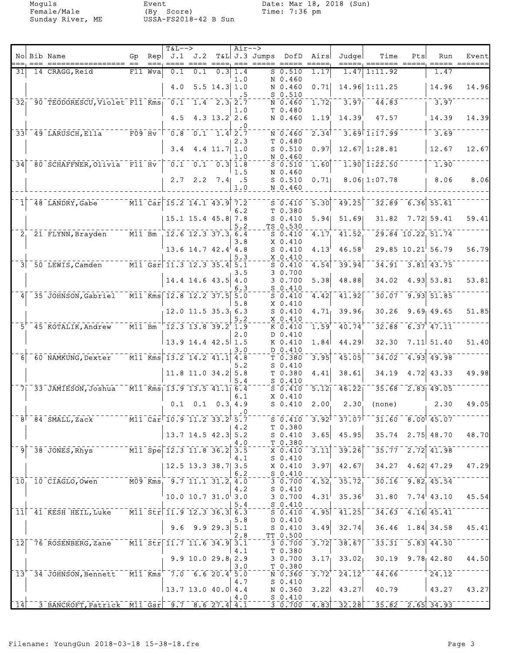Moguls Event Date: Mar 18, 2018 (Sun)

| No Bib Name<br>Rep $J.1$ $J.2$<br>T&L J.3 Jumps DofD<br>Time<br>Gp<br>Airs<br>Judgel<br>Pts<br>Run<br>$=$ $=$ $=$ $=$ $=$ $=$ $=$<br>F11 Wva<br>$0.1 \quad 0.3 \, 1.4$<br>$S_0.510$<br>1.17<br>14 CRAGG, Reid<br>0.1<br>1.47<br>1:11.92<br>1.47<br>31 <br>1.0<br>N 0.460<br>$5.5$ 14.3 1.0<br>$14.96$ 1:11.25<br>4.0<br>N 0.460<br>0.71<br>14.96<br>$S$ 0.510<br>.5<br>32   90 TEODORESCU, Violet F11 Kms   0.1 1.4 2.3 2.7<br>$3.97$ <sup>---</sup><br>44.83<br>$-3.97$<br>1.72<br>N 0.460<br>T 0.480<br>1.0<br>47.57<br>14.39<br>4.5<br>$4.3$ 13.2 2.6<br>N 0.460<br>14.39<br>1.19<br>. 0<br>$3.69$ 1:17.99<br>$-3.69$<br>33 49 LARUSCH, E11a F09 Hv 0.8 0.1 1.4 2.7<br>2.34<br>N 0.460<br>2.3<br>T 0.480<br>$12.67$ 1:28.81<br>12.67<br>3.4<br>$4.4$ 11.7 1.0<br>$S_0.510$<br>0.97<br>N 0.460<br>1.0<br>780 SCHAFFNER, Olivia F11 Hv 70.1 0.1 0.3 1.8<br>$1.90$ $1.22.50$<br>$\overline{1.90}$<br>1.60<br>34<br>$S$ 0.510<br>1.5<br>N 0.460<br>$S$ 0.510<br>0.71<br>8.06 1:07.78<br>  8.06<br>$2.7 \quad 2.2$<br>$7.4$ . 5<br>N 0.460<br>1.0<br>$\overline{$ M11 Car 15.2 14.1 43.9 7.2<br>$32.89 - 6.36$ 55.61<br>$-48$ LANDRY, Gabe<br>$\overline{5.30}$<br>49.25<br>$5 - 0.410$<br>6.2<br>T 0.380<br>31.82 7.72 59.41<br>$S_0.410$<br>5.94<br>51.69<br>15.1 15.4 45.8 7.8<br>5.2<br>TS 0.530<br>$\overline{29.84}$ 10.22 51.74<br>$\overline{M11}$ Bm $\overline{12.6}$ 12.3 37.3 6.4<br>$\overline{41.52}$<br>4.17<br>2 21 FLYNN, Brayden<br>$S_0.410$<br>X 0.410<br>3.8<br>13.6 14.7 42.4 4.8<br>46.58<br>$29.85$ $10.21$ 56.79<br>$S_0.410$<br>4.13<br>$X_0.410$<br>5.3<br>3 50 LEWIS, Camden M11 Gsr 11.3 12.3 35.4 5.1<br>$34.91 - 3.81$ 43.75<br>39.94<br>4.54<br>S <sub>0.410</sub><br>3 0.700<br>3.5<br>34.02<br>$4.93 \vert 53.81$<br>$14.4$ 14.6 43.5 4.0<br>5.38<br>48.88<br>3 0.700<br>6.3<br>$S_0.410$<br>$30.07 - 9.93$ 51.85<br>$-35$ JOHNSON, Gabriel M11 Kms 12.8 12.2 37.5 5.0<br>4.42<br>41.92<br>$S$ 0.410<br>4<br>X 0.410<br>5.8<br>$9.69$ 49.65<br>12.0 11.5 35.3 6.3<br>4.71<br>39.96<br>30.26<br>$S_0.410$<br>5.2<br>X 0.410<br>$ \overline{M11}$ Bm<br>$12.3$ 13.8 39.2 1.9<br>40.74<br>$32.88$ 6.37 47.11<br>$5+$ 45 KOTALIK, Andrew<br>1.59<br>K 0.410<br>$D_0.410$<br>2.0<br>$13.9$ 14.4 42.5 1.5<br>32.30<br>$7.11 \, 51.40$<br>44.29<br>K 0.410<br>1.84<br>3.0<br>$D_0.410$<br>60 NAMKUNG, Dexter M11 Kms 13.2 14.2 41.1 4.8<br>34.02<br>$4.93$ $49.98$<br>3.95<br>45.05<br>6 <br>T 0.380<br>$S_0.410$<br>5.2<br>38.61<br>$11.8$ 11.0 34.2 5.8<br>T 0.380<br>4.41<br>34.19<br>$4.72$ 43.33<br>5.4<br>$S_0.410$<br>$35.68 - 2.83$ 49.05<br>7 33 JAMIESON, Joshua M11 Kms 13.9 13.5 41.1 6.4<br>$\overline{5.12}$<br>46.22<br>$S = 0.410$<br>$X_0.410$<br>6.1<br>2.30<br>$0.1$ $0.1$ $0.3$ $4.9$<br>2.30<br>$S_0.410$<br>2.00<br>(none)<br>. 0<br>$-3.92$ <sup>+</sup> $-37.07$ <sup>+-<math>-31.60</math>-<math>8.00</math><sup>+</sup><math>45.07</math><sup>-</sup></sup><br>$8^{\dagger}$ $84$ $5$ MALL, Zack $10.9$ $11.2$ $33.2$ $5.7$ $10.9$ $0.410$<br>T 0.380<br>4.2<br>$13.7$ 14.5 42.3 5.2<br>$3.65$ 45.95<br>$S_0.410$<br>T 0.380<br>4.0<br>$9^{+38}$ JONES, Rhys <sup>---------</sup> M11-Spe <sup>-</sup> 12.3 11.8 36.2 3.5<br>$\overline{3.11}$ $\overline{39.26}$ $\overline{6}$ $\overline{35.77}$ $\overline{2.72}$ $\overline{41.98}$<br>$\bar{x}$ $\bar{0}$ $\bar{4}$ $\bar{10}$ $\bar{0}$<br>4.1<br>$S_0.410$<br>34.27 4.62 47.29<br>42.67<br>$12.5$ 13.3 38.7 3.5<br>X 0.410<br>3.97<br>6.2<br>$S_0.410$<br>$10^{1}$ $10^{-}$ $CIAGLO$ , Owen $M09$ $Rms$ <sup>1</sup> $9.7$ $11.1$ $31.2^{1}_{1}$ $4.0$<br>$-3 - 0.700$<br>$30.16 - 9.82$ , 45.54<br>$4.52^{+2.35.72^{+3.1}}$<br>4.2<br>$S_0.410$<br>$10.0$ 10.7 31.0 3.0<br>35.36<br>$31.80$ $7.74$ $43.10$<br>4.31<br>3 0.700<br>$S_0$ .410<br>5.4<br>11 41 KESH HEIL, Luke M11 Str 11.9 12.3 36.3 6.3<br>$\sqrt{34.63}$ $\sqrt{4.16}$ $\sqrt{45.41}$<br>$\left[4.95\right]$ $\left[41.25\right]$ $\left[$<br>50.410<br>D 0.410<br>5.8<br>$36.46$ 1.84 34.58<br>$9.6$ $9.9$ $29.3$ 5.1<br>32.74<br>$S$ 0.410<br>3.49<br>TT 0.500<br>2.8<br>12 76 ROSENBERG, Zane M11 Str 11.7 11.6 34.9 3.1<br>$-33.31 - 5.83$ 44.50<br>$\overline{3.72}$ ] $\overline{38.67}$ [ $\overline{)}$<br>30.700<br>T 0.380<br>4.1<br>$9.9 10.0 29.8$ <sub>1</sub> 2.9<br>3 0.700<br>$3.17_1$ $33.02_1$<br>T 0.380<br>3.0<br>$13+$ 34 JOHNSON, Bennett M11 Kms <sup>1-</sup> 7.0 6.6 20.4 5.0<br>$-44.66$ -----<br>$3.72^{+2}$ $24.12^{+}$<br>$-124.12$<br>N 0.360<br>$S_0.410$<br>4.7<br>$13.7$ 13.0 40.0 4.4<br>43.27<br>40.79<br>3.22<br>N 0.360<br>$S_0.410$<br>4.0<br>3 BANCROFT, Patrick M11 Gsr 9.7 8.6 27.4 4.1<br>$\sqrt{3}$ $\sqrt{0.700}$ $\sqrt{4.83}$ $\sqrt{32.28}$<br>$-35.82 - 2.65$ 34.93<br>$\left\lceil \left. \frac{\bar{1} \bar{4}}{14}\right\rceil \right.$ |  |  | <b>T&amp;L--&gt;</b> |  | $\overline{Air}$ -> |  |  |  |       |
|------------------------------------------------------------------------------------------------------------------------------------------------------------------------------------------------------------------------------------------------------------------------------------------------------------------------------------------------------------------------------------------------------------------------------------------------------------------------------------------------------------------------------------------------------------------------------------------------------------------------------------------------------------------------------------------------------------------------------------------------------------------------------------------------------------------------------------------------------------------------------------------------------------------------------------------------------------------------------------------------------------------------------------------------------------------------------------------------------------------------------------------------------------------------------------------------------------------------------------------------------------------------------------------------------------------------------------------------------------------------------------------------------------------------------------------------------------------------------------------------------------------------------------------------------------------------------------------------------------------------------------------------------------------------------------------------------------------------------------------------------------------------------------------------------------------------------------------------------------------------------------------------------------------------------------------------------------------------------------------------------------------------------------------------------------------------------------------------------------------------------------------------------------------------------------------------------------------------------------------------------------------------------------------------------------------------------------------------------------------------------------------------------------------------------------------------------------------------------------------------------------------------------------------------------------------------------------------------------------------------------------------------------------------------------------------------------------------------------------------------------------------------------------------------------------------------------------------------------------------------------------------------------------------------------------------------------------------------------------------------------------------------------------------------------------------------------------------------------------------------------------------------------------------------------------------------------------------------------------------------------------------------------------------------------------------------------------------------------------------------------------------------------------------------------------------------------------------------------------------------------------------------------------------------------------------------------------------------------------------------------------------------------------------------------------------------------------------------------------------------------------------------------------------------------------------------------------------------------------------------------------------------------------------------------------------------------------------------------------------------------------------------------------------------------------------------------------------------------------------------------------------------------------------------------------------------------------------------------------------------------------------------------------------------------------------------------------------------------------------------------------------------------------------------------------------------------------------------------------------------------------------------------------------------------------------------------------------------------------------------------------------------------------------------------------------------------------------------------------------------------------------------|--|--|----------------------|--|---------------------|--|--|--|-------|
| 14.96<br>14.39                                                                                                                                                                                                                                                                                                                                                                                                                                                                                                                                                                                                                                                                                                                                                                                                                                                                                                                                                                                                                                                                                                                                                                                                                                                                                                                                                                                                                                                                                                                                                                                                                                                                                                                                                                                                                                                                                                                                                                                                                                                                                                                                                                                                                                                                                                                                                                                                                                                                                                                                                                                                                                                                                                                                                                                                                                                                                                                                                                                                                                                                                                                                                                                                                                                                                                                                                                                                                                                                                                                                                                                                                                                                                                                                                                                                                                                                                                                                                                                                                                                                                                                                                                                                                                                                                                                                                                                                                                                                                                                                                                                                                                                                                                                                                         |  |  |                      |  |                     |  |  |  | Event |
|                                                                                                                                                                                                                                                                                                                                                                                                                                                                                                                                                                                                                                                                                                                                                                                                                                                                                                                                                                                                                                                                                                                                                                                                                                                                                                                                                                                                                                                                                                                                                                                                                                                                                                                                                                                                                                                                                                                                                                                                                                                                                                                                                                                                                                                                                                                                                                                                                                                                                                                                                                                                                                                                                                                                                                                                                                                                                                                                                                                                                                                                                                                                                                                                                                                                                                                                                                                                                                                                                                                                                                                                                                                                                                                                                                                                                                                                                                                                                                                                                                                                                                                                                                                                                                                                                                                                                                                                                                                                                                                                                                                                                                                                                                                                                                        |  |  |                      |  |                     |  |  |  |       |
|                                                                                                                                                                                                                                                                                                                                                                                                                                                                                                                                                                                                                                                                                                                                                                                                                                                                                                                                                                                                                                                                                                                                                                                                                                                                                                                                                                                                                                                                                                                                                                                                                                                                                                                                                                                                                                                                                                                                                                                                                                                                                                                                                                                                                                                                                                                                                                                                                                                                                                                                                                                                                                                                                                                                                                                                                                                                                                                                                                                                                                                                                                                                                                                                                                                                                                                                                                                                                                                                                                                                                                                                                                                                                                                                                                                                                                                                                                                                                                                                                                                                                                                                                                                                                                                                                                                                                                                                                                                                                                                                                                                                                                                                                                                                                                        |  |  |                      |  |                     |  |  |  |       |
|                                                                                                                                                                                                                                                                                                                                                                                                                                                                                                                                                                                                                                                                                                                                                                                                                                                                                                                                                                                                                                                                                                                                                                                                                                                                                                                                                                                                                                                                                                                                                                                                                                                                                                                                                                                                                                                                                                                                                                                                                                                                                                                                                                                                                                                                                                                                                                                                                                                                                                                                                                                                                                                                                                                                                                                                                                                                                                                                                                                                                                                                                                                                                                                                                                                                                                                                                                                                                                                                                                                                                                                                                                                                                                                                                                                                                                                                                                                                                                                                                                                                                                                                                                                                                                                                                                                                                                                                                                                                                                                                                                                                                                                                                                                                                                        |  |  |                      |  |                     |  |  |  |       |
|                                                                                                                                                                                                                                                                                                                                                                                                                                                                                                                                                                                                                                                                                                                                                                                                                                                                                                                                                                                                                                                                                                                                                                                                                                                                                                                                                                                                                                                                                                                                                                                                                                                                                                                                                                                                                                                                                                                                                                                                                                                                                                                                                                                                                                                                                                                                                                                                                                                                                                                                                                                                                                                                                                                                                                                                                                                                                                                                                                                                                                                                                                                                                                                                                                                                                                                                                                                                                                                                                                                                                                                                                                                                                                                                                                                                                                                                                                                                                                                                                                                                                                                                                                                                                                                                                                                                                                                                                                                                                                                                                                                                                                                                                                                                                                        |  |  |                      |  |                     |  |  |  |       |
|                                                                                                                                                                                                                                                                                                                                                                                                                                                                                                                                                                                                                                                                                                                                                                                                                                                                                                                                                                                                                                                                                                                                                                                                                                                                                                                                                                                                                                                                                                                                                                                                                                                                                                                                                                                                                                                                                                                                                                                                                                                                                                                                                                                                                                                                                                                                                                                                                                                                                                                                                                                                                                                                                                                                                                                                                                                                                                                                                                                                                                                                                                                                                                                                                                                                                                                                                                                                                                                                                                                                                                                                                                                                                                                                                                                                                                                                                                                                                                                                                                                                                                                                                                                                                                                                                                                                                                                                                                                                                                                                                                                                                                                                                                                                                                        |  |  |                      |  |                     |  |  |  |       |
| 12.67<br>59.41<br>56.79<br>53.81<br>51.85<br>51.40<br>49.98<br>49.05<br>$35.74$ 2.75 48.70 48.70<br>47.29<br>45.54<br>45.41<br>$30.19$ $9.78$ $42.80$ $44.50$<br> 43.27 43.27                                                                                                                                                                                                                                                                                                                                                                                                                                                                                                                                                                                                                                                                                                                                                                                                                                                                                                                                                                                                                                                                                                                                                                                                                                                                                                                                                                                                                                                                                                                                                                                                                                                                                                                                                                                                                                                                                                                                                                                                                                                                                                                                                                                                                                                                                                                                                                                                                                                                                                                                                                                                                                                                                                                                                                                                                                                                                                                                                                                                                                                                                                                                                                                                                                                                                                                                                                                                                                                                                                                                                                                                                                                                                                                                                                                                                                                                                                                                                                                                                                                                                                                                                                                                                                                                                                                                                                                                                                                                                                                                                                                          |  |  |                      |  |                     |  |  |  |       |
|                                                                                                                                                                                                                                                                                                                                                                                                                                                                                                                                                                                                                                                                                                                                                                                                                                                                                                                                                                                                                                                                                                                                                                                                                                                                                                                                                                                                                                                                                                                                                                                                                                                                                                                                                                                                                                                                                                                                                                                                                                                                                                                                                                                                                                                                                                                                                                                                                                                                                                                                                                                                                                                                                                                                                                                                                                                                                                                                                                                                                                                                                                                                                                                                                                                                                                                                                                                                                                                                                                                                                                                                                                                                                                                                                                                                                                                                                                                                                                                                                                                                                                                                                                                                                                                                                                                                                                                                                                                                                                                                                                                                                                                                                                                                                                        |  |  |                      |  |                     |  |  |  |       |
|                                                                                                                                                                                                                                                                                                                                                                                                                                                                                                                                                                                                                                                                                                                                                                                                                                                                                                                                                                                                                                                                                                                                                                                                                                                                                                                                                                                                                                                                                                                                                                                                                                                                                                                                                                                                                                                                                                                                                                                                                                                                                                                                                                                                                                                                                                                                                                                                                                                                                                                                                                                                                                                                                                                                                                                                                                                                                                                                                                                                                                                                                                                                                                                                                                                                                                                                                                                                                                                                                                                                                                                                                                                                                                                                                                                                                                                                                                                                                                                                                                                                                                                                                                                                                                                                                                                                                                                                                                                                                                                                                                                                                                                                                                                                                                        |  |  |                      |  |                     |  |  |  |       |
|                                                                                                                                                                                                                                                                                                                                                                                                                                                                                                                                                                                                                                                                                                                                                                                                                                                                                                                                                                                                                                                                                                                                                                                                                                                                                                                                                                                                                                                                                                                                                                                                                                                                                                                                                                                                                                                                                                                                                                                                                                                                                                                                                                                                                                                                                                                                                                                                                                                                                                                                                                                                                                                                                                                                                                                                                                                                                                                                                                                                                                                                                                                                                                                                                                                                                                                                                                                                                                                                                                                                                                                                                                                                                                                                                                                                                                                                                                                                                                                                                                                                                                                                                                                                                                                                                                                                                                                                                                                                                                                                                                                                                                                                                                                                                                        |  |  |                      |  |                     |  |  |  |       |
|                                                                                                                                                                                                                                                                                                                                                                                                                                                                                                                                                                                                                                                                                                                                                                                                                                                                                                                                                                                                                                                                                                                                                                                                                                                                                                                                                                                                                                                                                                                                                                                                                                                                                                                                                                                                                                                                                                                                                                                                                                                                                                                                                                                                                                                                                                                                                                                                                                                                                                                                                                                                                                                                                                                                                                                                                                                                                                                                                                                                                                                                                                                                                                                                                                                                                                                                                                                                                                                                                                                                                                                                                                                                                                                                                                                                                                                                                                                                                                                                                                                                                                                                                                                                                                                                                                                                                                                                                                                                                                                                                                                                                                                                                                                                                                        |  |  |                      |  |                     |  |  |  |       |
|                                                                                                                                                                                                                                                                                                                                                                                                                                                                                                                                                                                                                                                                                                                                                                                                                                                                                                                                                                                                                                                                                                                                                                                                                                                                                                                                                                                                                                                                                                                                                                                                                                                                                                                                                                                                                                                                                                                                                                                                                                                                                                                                                                                                                                                                                                                                                                                                                                                                                                                                                                                                                                                                                                                                                                                                                                                                                                                                                                                                                                                                                                                                                                                                                                                                                                                                                                                                                                                                                                                                                                                                                                                                                                                                                                                                                                                                                                                                                                                                                                                                                                                                                                                                                                                                                                                                                                                                                                                                                                                                                                                                                                                                                                                                                                        |  |  |                      |  |                     |  |  |  | 8.06  |
|                                                                                                                                                                                                                                                                                                                                                                                                                                                                                                                                                                                                                                                                                                                                                                                                                                                                                                                                                                                                                                                                                                                                                                                                                                                                                                                                                                                                                                                                                                                                                                                                                                                                                                                                                                                                                                                                                                                                                                                                                                                                                                                                                                                                                                                                                                                                                                                                                                                                                                                                                                                                                                                                                                                                                                                                                                                                                                                                                                                                                                                                                                                                                                                                                                                                                                                                                                                                                                                                                                                                                                                                                                                                                                                                                                                                                                                                                                                                                                                                                                                                                                                                                                                                                                                                                                                                                                                                                                                                                                                                                                                                                                                                                                                                                                        |  |  |                      |  |                     |  |  |  |       |
|                                                                                                                                                                                                                                                                                                                                                                                                                                                                                                                                                                                                                                                                                                                                                                                                                                                                                                                                                                                                                                                                                                                                                                                                                                                                                                                                                                                                                                                                                                                                                                                                                                                                                                                                                                                                                                                                                                                                                                                                                                                                                                                                                                                                                                                                                                                                                                                                                                                                                                                                                                                                                                                                                                                                                                                                                                                                                                                                                                                                                                                                                                                                                                                                                                                                                                                                                                                                                                                                                                                                                                                                                                                                                                                                                                                                                                                                                                                                                                                                                                                                                                                                                                                                                                                                                                                                                                                                                                                                                                                                                                                                                                                                                                                                                                        |  |  |                      |  |                     |  |  |  |       |
|                                                                                                                                                                                                                                                                                                                                                                                                                                                                                                                                                                                                                                                                                                                                                                                                                                                                                                                                                                                                                                                                                                                                                                                                                                                                                                                                                                                                                                                                                                                                                                                                                                                                                                                                                                                                                                                                                                                                                                                                                                                                                                                                                                                                                                                                                                                                                                                                                                                                                                                                                                                                                                                                                                                                                                                                                                                                                                                                                                                                                                                                                                                                                                                                                                                                                                                                                                                                                                                                                                                                                                                                                                                                                                                                                                                                                                                                                                                                                                                                                                                                                                                                                                                                                                                                                                                                                                                                                                                                                                                                                                                                                                                                                                                                                                        |  |  |                      |  |                     |  |  |  |       |
|                                                                                                                                                                                                                                                                                                                                                                                                                                                                                                                                                                                                                                                                                                                                                                                                                                                                                                                                                                                                                                                                                                                                                                                                                                                                                                                                                                                                                                                                                                                                                                                                                                                                                                                                                                                                                                                                                                                                                                                                                                                                                                                                                                                                                                                                                                                                                                                                                                                                                                                                                                                                                                                                                                                                                                                                                                                                                                                                                                                                                                                                                                                                                                                                                                                                                                                                                                                                                                                                                                                                                                                                                                                                                                                                                                                                                                                                                                                                                                                                                                                                                                                                                                                                                                                                                                                                                                                                                                                                                                                                                                                                                                                                                                                                                                        |  |  |                      |  |                     |  |  |  |       |
|                                                                                                                                                                                                                                                                                                                                                                                                                                                                                                                                                                                                                                                                                                                                                                                                                                                                                                                                                                                                                                                                                                                                                                                                                                                                                                                                                                                                                                                                                                                                                                                                                                                                                                                                                                                                                                                                                                                                                                                                                                                                                                                                                                                                                                                                                                                                                                                                                                                                                                                                                                                                                                                                                                                                                                                                                                                                                                                                                                                                                                                                                                                                                                                                                                                                                                                                                                                                                                                                                                                                                                                                                                                                                                                                                                                                                                                                                                                                                                                                                                                                                                                                                                                                                                                                                                                                                                                                                                                                                                                                                                                                                                                                                                                                                                        |  |  |                      |  |                     |  |  |  |       |
|                                                                                                                                                                                                                                                                                                                                                                                                                                                                                                                                                                                                                                                                                                                                                                                                                                                                                                                                                                                                                                                                                                                                                                                                                                                                                                                                                                                                                                                                                                                                                                                                                                                                                                                                                                                                                                                                                                                                                                                                                                                                                                                                                                                                                                                                                                                                                                                                                                                                                                                                                                                                                                                                                                                                                                                                                                                                                                                                                                                                                                                                                                                                                                                                                                                                                                                                                                                                                                                                                                                                                                                                                                                                                                                                                                                                                                                                                                                                                                                                                                                                                                                                                                                                                                                                                                                                                                                                                                                                                                                                                                                                                                                                                                                                                                        |  |  |                      |  |                     |  |  |  |       |
|                                                                                                                                                                                                                                                                                                                                                                                                                                                                                                                                                                                                                                                                                                                                                                                                                                                                                                                                                                                                                                                                                                                                                                                                                                                                                                                                                                                                                                                                                                                                                                                                                                                                                                                                                                                                                                                                                                                                                                                                                                                                                                                                                                                                                                                                                                                                                                                                                                                                                                                                                                                                                                                                                                                                                                                                                                                                                                                                                                                                                                                                                                                                                                                                                                                                                                                                                                                                                                                                                                                                                                                                                                                                                                                                                                                                                                                                                                                                                                                                                                                                                                                                                                                                                                                                                                                                                                                                                                                                                                                                                                                                                                                                                                                                                                        |  |  |                      |  |                     |  |  |  |       |
|                                                                                                                                                                                                                                                                                                                                                                                                                                                                                                                                                                                                                                                                                                                                                                                                                                                                                                                                                                                                                                                                                                                                                                                                                                                                                                                                                                                                                                                                                                                                                                                                                                                                                                                                                                                                                                                                                                                                                                                                                                                                                                                                                                                                                                                                                                                                                                                                                                                                                                                                                                                                                                                                                                                                                                                                                                                                                                                                                                                                                                                                                                                                                                                                                                                                                                                                                                                                                                                                                                                                                                                                                                                                                                                                                                                                                                                                                                                                                                                                                                                                                                                                                                                                                                                                                                                                                                                                                                                                                                                                                                                                                                                                                                                                                                        |  |  |                      |  |                     |  |  |  |       |
|                                                                                                                                                                                                                                                                                                                                                                                                                                                                                                                                                                                                                                                                                                                                                                                                                                                                                                                                                                                                                                                                                                                                                                                                                                                                                                                                                                                                                                                                                                                                                                                                                                                                                                                                                                                                                                                                                                                                                                                                                                                                                                                                                                                                                                                                                                                                                                                                                                                                                                                                                                                                                                                                                                                                                                                                                                                                                                                                                                                                                                                                                                                                                                                                                                                                                                                                                                                                                                                                                                                                                                                                                                                                                                                                                                                                                                                                                                                                                                                                                                                                                                                                                                                                                                                                                                                                                                                                                                                                                                                                                                                                                                                                                                                                                                        |  |  |                      |  |                     |  |  |  |       |
|                                                                                                                                                                                                                                                                                                                                                                                                                                                                                                                                                                                                                                                                                                                                                                                                                                                                                                                                                                                                                                                                                                                                                                                                                                                                                                                                                                                                                                                                                                                                                                                                                                                                                                                                                                                                                                                                                                                                                                                                                                                                                                                                                                                                                                                                                                                                                                                                                                                                                                                                                                                                                                                                                                                                                                                                                                                                                                                                                                                                                                                                                                                                                                                                                                                                                                                                                                                                                                                                                                                                                                                                                                                                                                                                                                                                                                                                                                                                                                                                                                                                                                                                                                                                                                                                                                                                                                                                                                                                                                                                                                                                                                                                                                                                                                        |  |  |                      |  |                     |  |  |  |       |
|                                                                                                                                                                                                                                                                                                                                                                                                                                                                                                                                                                                                                                                                                                                                                                                                                                                                                                                                                                                                                                                                                                                                                                                                                                                                                                                                                                                                                                                                                                                                                                                                                                                                                                                                                                                                                                                                                                                                                                                                                                                                                                                                                                                                                                                                                                                                                                                                                                                                                                                                                                                                                                                                                                                                                                                                                                                                                                                                                                                                                                                                                                                                                                                                                                                                                                                                                                                                                                                                                                                                                                                                                                                                                                                                                                                                                                                                                                                                                                                                                                                                                                                                                                                                                                                                                                                                                                                                                                                                                                                                                                                                                                                                                                                                                                        |  |  |                      |  |                     |  |  |  |       |
|                                                                                                                                                                                                                                                                                                                                                                                                                                                                                                                                                                                                                                                                                                                                                                                                                                                                                                                                                                                                                                                                                                                                                                                                                                                                                                                                                                                                                                                                                                                                                                                                                                                                                                                                                                                                                                                                                                                                                                                                                                                                                                                                                                                                                                                                                                                                                                                                                                                                                                                                                                                                                                                                                                                                                                                                                                                                                                                                                                                                                                                                                                                                                                                                                                                                                                                                                                                                                                                                                                                                                                                                                                                                                                                                                                                                                                                                                                                                                                                                                                                                                                                                                                                                                                                                                                                                                                                                                                                                                                                                                                                                                                                                                                                                                                        |  |  |                      |  |                     |  |  |  |       |
|                                                                                                                                                                                                                                                                                                                                                                                                                                                                                                                                                                                                                                                                                                                                                                                                                                                                                                                                                                                                                                                                                                                                                                                                                                                                                                                                                                                                                                                                                                                                                                                                                                                                                                                                                                                                                                                                                                                                                                                                                                                                                                                                                                                                                                                                                                                                                                                                                                                                                                                                                                                                                                                                                                                                                                                                                                                                                                                                                                                                                                                                                                                                                                                                                                                                                                                                                                                                                                                                                                                                                                                                                                                                                                                                                                                                                                                                                                                                                                                                                                                                                                                                                                                                                                                                                                                                                                                                                                                                                                                                                                                                                                                                                                                                                                        |  |  |                      |  |                     |  |  |  |       |
|                                                                                                                                                                                                                                                                                                                                                                                                                                                                                                                                                                                                                                                                                                                                                                                                                                                                                                                                                                                                                                                                                                                                                                                                                                                                                                                                                                                                                                                                                                                                                                                                                                                                                                                                                                                                                                                                                                                                                                                                                                                                                                                                                                                                                                                                                                                                                                                                                                                                                                                                                                                                                                                                                                                                                                                                                                                                                                                                                                                                                                                                                                                                                                                                                                                                                                                                                                                                                                                                                                                                                                                                                                                                                                                                                                                                                                                                                                                                                                                                                                                                                                                                                                                                                                                                                                                                                                                                                                                                                                                                                                                                                                                                                                                                                                        |  |  |                      |  |                     |  |  |  |       |
|                                                                                                                                                                                                                                                                                                                                                                                                                                                                                                                                                                                                                                                                                                                                                                                                                                                                                                                                                                                                                                                                                                                                                                                                                                                                                                                                                                                                                                                                                                                                                                                                                                                                                                                                                                                                                                                                                                                                                                                                                                                                                                                                                                                                                                                                                                                                                                                                                                                                                                                                                                                                                                                                                                                                                                                                                                                                                                                                                                                                                                                                                                                                                                                                                                                                                                                                                                                                                                                                                                                                                                                                                                                                                                                                                                                                                                                                                                                                                                                                                                                                                                                                                                                                                                                                                                                                                                                                                                                                                                                                                                                                                                                                                                                                                                        |  |  |                      |  |                     |  |  |  |       |
|                                                                                                                                                                                                                                                                                                                                                                                                                                                                                                                                                                                                                                                                                                                                                                                                                                                                                                                                                                                                                                                                                                                                                                                                                                                                                                                                                                                                                                                                                                                                                                                                                                                                                                                                                                                                                                                                                                                                                                                                                                                                                                                                                                                                                                                                                                                                                                                                                                                                                                                                                                                                                                                                                                                                                                                                                                                                                                                                                                                                                                                                                                                                                                                                                                                                                                                                                                                                                                                                                                                                                                                                                                                                                                                                                                                                                                                                                                                                                                                                                                                                                                                                                                                                                                                                                                                                                                                                                                                                                                                                                                                                                                                                                                                                                                        |  |  |                      |  |                     |  |  |  |       |
|                                                                                                                                                                                                                                                                                                                                                                                                                                                                                                                                                                                                                                                                                                                                                                                                                                                                                                                                                                                                                                                                                                                                                                                                                                                                                                                                                                                                                                                                                                                                                                                                                                                                                                                                                                                                                                                                                                                                                                                                                                                                                                                                                                                                                                                                                                                                                                                                                                                                                                                                                                                                                                                                                                                                                                                                                                                                                                                                                                                                                                                                                                                                                                                                                                                                                                                                                                                                                                                                                                                                                                                                                                                                                                                                                                                                                                                                                                                                                                                                                                                                                                                                                                                                                                                                                                                                                                                                                                                                                                                                                                                                                                                                                                                                                                        |  |  |                      |  |                     |  |  |  |       |
|                                                                                                                                                                                                                                                                                                                                                                                                                                                                                                                                                                                                                                                                                                                                                                                                                                                                                                                                                                                                                                                                                                                                                                                                                                                                                                                                                                                                                                                                                                                                                                                                                                                                                                                                                                                                                                                                                                                                                                                                                                                                                                                                                                                                                                                                                                                                                                                                                                                                                                                                                                                                                                                                                                                                                                                                                                                                                                                                                                                                                                                                                                                                                                                                                                                                                                                                                                                                                                                                                                                                                                                                                                                                                                                                                                                                                                                                                                                                                                                                                                                                                                                                                                                                                                                                                                                                                                                                                                                                                                                                                                                                                                                                                                                                                                        |  |  |                      |  |                     |  |  |  |       |
|                                                                                                                                                                                                                                                                                                                                                                                                                                                                                                                                                                                                                                                                                                                                                                                                                                                                                                                                                                                                                                                                                                                                                                                                                                                                                                                                                                                                                                                                                                                                                                                                                                                                                                                                                                                                                                                                                                                                                                                                                                                                                                                                                                                                                                                                                                                                                                                                                                                                                                                                                                                                                                                                                                                                                                                                                                                                                                                                                                                                                                                                                                                                                                                                                                                                                                                                                                                                                                                                                                                                                                                                                                                                                                                                                                                                                                                                                                                                                                                                                                                                                                                                                                                                                                                                                                                                                                                                                                                                                                                                                                                                                                                                                                                                                                        |  |  |                      |  |                     |  |  |  |       |
|                                                                                                                                                                                                                                                                                                                                                                                                                                                                                                                                                                                                                                                                                                                                                                                                                                                                                                                                                                                                                                                                                                                                                                                                                                                                                                                                                                                                                                                                                                                                                                                                                                                                                                                                                                                                                                                                                                                                                                                                                                                                                                                                                                                                                                                                                                                                                                                                                                                                                                                                                                                                                                                                                                                                                                                                                                                                                                                                                                                                                                                                                                                                                                                                                                                                                                                                                                                                                                                                                                                                                                                                                                                                                                                                                                                                                                                                                                                                                                                                                                                                                                                                                                                                                                                                                                                                                                                                                                                                                                                                                                                                                                                                                                                                                                        |  |  |                      |  |                     |  |  |  |       |
|                                                                                                                                                                                                                                                                                                                                                                                                                                                                                                                                                                                                                                                                                                                                                                                                                                                                                                                                                                                                                                                                                                                                                                                                                                                                                                                                                                                                                                                                                                                                                                                                                                                                                                                                                                                                                                                                                                                                                                                                                                                                                                                                                                                                                                                                                                                                                                                                                                                                                                                                                                                                                                                                                                                                                                                                                                                                                                                                                                                                                                                                                                                                                                                                                                                                                                                                                                                                                                                                                                                                                                                                                                                                                                                                                                                                                                                                                                                                                                                                                                                                                                                                                                                                                                                                                                                                                                                                                                                                                                                                                                                                                                                                                                                                                                        |  |  |                      |  |                     |  |  |  |       |
|                                                                                                                                                                                                                                                                                                                                                                                                                                                                                                                                                                                                                                                                                                                                                                                                                                                                                                                                                                                                                                                                                                                                                                                                                                                                                                                                                                                                                                                                                                                                                                                                                                                                                                                                                                                                                                                                                                                                                                                                                                                                                                                                                                                                                                                                                                                                                                                                                                                                                                                                                                                                                                                                                                                                                                                                                                                                                                                                                                                                                                                                                                                                                                                                                                                                                                                                                                                                                                                                                                                                                                                                                                                                                                                                                                                                                                                                                                                                                                                                                                                                                                                                                                                                                                                                                                                                                                                                                                                                                                                                                                                                                                                                                                                                                                        |  |  |                      |  |                     |  |  |  |       |
|                                                                                                                                                                                                                                                                                                                                                                                                                                                                                                                                                                                                                                                                                                                                                                                                                                                                                                                                                                                                                                                                                                                                                                                                                                                                                                                                                                                                                                                                                                                                                                                                                                                                                                                                                                                                                                                                                                                                                                                                                                                                                                                                                                                                                                                                                                                                                                                                                                                                                                                                                                                                                                                                                                                                                                                                                                                                                                                                                                                                                                                                                                                                                                                                                                                                                                                                                                                                                                                                                                                                                                                                                                                                                                                                                                                                                                                                                                                                                                                                                                                                                                                                                                                                                                                                                                                                                                                                                                                                                                                                                                                                                                                                                                                                                                        |  |  |                      |  |                     |  |  |  |       |
|                                                                                                                                                                                                                                                                                                                                                                                                                                                                                                                                                                                                                                                                                                                                                                                                                                                                                                                                                                                                                                                                                                                                                                                                                                                                                                                                                                                                                                                                                                                                                                                                                                                                                                                                                                                                                                                                                                                                                                                                                                                                                                                                                                                                                                                                                                                                                                                                                                                                                                                                                                                                                                                                                                                                                                                                                                                                                                                                                                                                                                                                                                                                                                                                                                                                                                                                                                                                                                                                                                                                                                                                                                                                                                                                                                                                                                                                                                                                                                                                                                                                                                                                                                                                                                                                                                                                                                                                                                                                                                                                                                                                                                                                                                                                                                        |  |  |                      |  |                     |  |  |  |       |
|                                                                                                                                                                                                                                                                                                                                                                                                                                                                                                                                                                                                                                                                                                                                                                                                                                                                                                                                                                                                                                                                                                                                                                                                                                                                                                                                                                                                                                                                                                                                                                                                                                                                                                                                                                                                                                                                                                                                                                                                                                                                                                                                                                                                                                                                                                                                                                                                                                                                                                                                                                                                                                                                                                                                                                                                                                                                                                                                                                                                                                                                                                                                                                                                                                                                                                                                                                                                                                                                                                                                                                                                                                                                                                                                                                                                                                                                                                                                                                                                                                                                                                                                                                                                                                                                                                                                                                                                                                                                                                                                                                                                                                                                                                                                                                        |  |  |                      |  |                     |  |  |  |       |
|                                                                                                                                                                                                                                                                                                                                                                                                                                                                                                                                                                                                                                                                                                                                                                                                                                                                                                                                                                                                                                                                                                                                                                                                                                                                                                                                                                                                                                                                                                                                                                                                                                                                                                                                                                                                                                                                                                                                                                                                                                                                                                                                                                                                                                                                                                                                                                                                                                                                                                                                                                                                                                                                                                                                                                                                                                                                                                                                                                                                                                                                                                                                                                                                                                                                                                                                                                                                                                                                                                                                                                                                                                                                                                                                                                                                                                                                                                                                                                                                                                                                                                                                                                                                                                                                                                                                                                                                                                                                                                                                                                                                                                                                                                                                                                        |  |  |                      |  |                     |  |  |  |       |
|                                                                                                                                                                                                                                                                                                                                                                                                                                                                                                                                                                                                                                                                                                                                                                                                                                                                                                                                                                                                                                                                                                                                                                                                                                                                                                                                                                                                                                                                                                                                                                                                                                                                                                                                                                                                                                                                                                                                                                                                                                                                                                                                                                                                                                                                                                                                                                                                                                                                                                                                                                                                                                                                                                                                                                                                                                                                                                                                                                                                                                                                                                                                                                                                                                                                                                                                                                                                                                                                                                                                                                                                                                                                                                                                                                                                                                                                                                                                                                                                                                                                                                                                                                                                                                                                                                                                                                                                                                                                                                                                                                                                                                                                                                                                                                        |  |  |                      |  |                     |  |  |  |       |
|                                                                                                                                                                                                                                                                                                                                                                                                                                                                                                                                                                                                                                                                                                                                                                                                                                                                                                                                                                                                                                                                                                                                                                                                                                                                                                                                                                                                                                                                                                                                                                                                                                                                                                                                                                                                                                                                                                                                                                                                                                                                                                                                                                                                                                                                                                                                                                                                                                                                                                                                                                                                                                                                                                                                                                                                                                                                                                                                                                                                                                                                                                                                                                                                                                                                                                                                                                                                                                                                                                                                                                                                                                                                                                                                                                                                                                                                                                                                                                                                                                                                                                                                                                                                                                                                                                                                                                                                                                                                                                                                                                                                                                                                                                                                                                        |  |  |                      |  |                     |  |  |  |       |
|                                                                                                                                                                                                                                                                                                                                                                                                                                                                                                                                                                                                                                                                                                                                                                                                                                                                                                                                                                                                                                                                                                                                                                                                                                                                                                                                                                                                                                                                                                                                                                                                                                                                                                                                                                                                                                                                                                                                                                                                                                                                                                                                                                                                                                                                                                                                                                                                                                                                                                                                                                                                                                                                                                                                                                                                                                                                                                                                                                                                                                                                                                                                                                                                                                                                                                                                                                                                                                                                                                                                                                                                                                                                                                                                                                                                                                                                                                                                                                                                                                                                                                                                                                                                                                                                                                                                                                                                                                                                                                                                                                                                                                                                                                                                                                        |  |  |                      |  |                     |  |  |  |       |
|                                                                                                                                                                                                                                                                                                                                                                                                                                                                                                                                                                                                                                                                                                                                                                                                                                                                                                                                                                                                                                                                                                                                                                                                                                                                                                                                                                                                                                                                                                                                                                                                                                                                                                                                                                                                                                                                                                                                                                                                                                                                                                                                                                                                                                                                                                                                                                                                                                                                                                                                                                                                                                                                                                                                                                                                                                                                                                                                                                                                                                                                                                                                                                                                                                                                                                                                                                                                                                                                                                                                                                                                                                                                                                                                                                                                                                                                                                                                                                                                                                                                                                                                                                                                                                                                                                                                                                                                                                                                                                                                                                                                                                                                                                                                                                        |  |  |                      |  |                     |  |  |  |       |
|                                                                                                                                                                                                                                                                                                                                                                                                                                                                                                                                                                                                                                                                                                                                                                                                                                                                                                                                                                                                                                                                                                                                                                                                                                                                                                                                                                                                                                                                                                                                                                                                                                                                                                                                                                                                                                                                                                                                                                                                                                                                                                                                                                                                                                                                                                                                                                                                                                                                                                                                                                                                                                                                                                                                                                                                                                                                                                                                                                                                                                                                                                                                                                                                                                                                                                                                                                                                                                                                                                                                                                                                                                                                                                                                                                                                                                                                                                                                                                                                                                                                                                                                                                                                                                                                                                                                                                                                                                                                                                                                                                                                                                                                                                                                                                        |  |  |                      |  |                     |  |  |  |       |
|                                                                                                                                                                                                                                                                                                                                                                                                                                                                                                                                                                                                                                                                                                                                                                                                                                                                                                                                                                                                                                                                                                                                                                                                                                                                                                                                                                                                                                                                                                                                                                                                                                                                                                                                                                                                                                                                                                                                                                                                                                                                                                                                                                                                                                                                                                                                                                                                                                                                                                                                                                                                                                                                                                                                                                                                                                                                                                                                                                                                                                                                                                                                                                                                                                                                                                                                                                                                                                                                                                                                                                                                                                                                                                                                                                                                                                                                                                                                                                                                                                                                                                                                                                                                                                                                                                                                                                                                                                                                                                                                                                                                                                                                                                                                                                        |  |  |                      |  |                     |  |  |  |       |
|                                                                                                                                                                                                                                                                                                                                                                                                                                                                                                                                                                                                                                                                                                                                                                                                                                                                                                                                                                                                                                                                                                                                                                                                                                                                                                                                                                                                                                                                                                                                                                                                                                                                                                                                                                                                                                                                                                                                                                                                                                                                                                                                                                                                                                                                                                                                                                                                                                                                                                                                                                                                                                                                                                                                                                                                                                                                                                                                                                                                                                                                                                                                                                                                                                                                                                                                                                                                                                                                                                                                                                                                                                                                                                                                                                                                                                                                                                                                                                                                                                                                                                                                                                                                                                                                                                                                                                                                                                                                                                                                                                                                                                                                                                                                                                        |  |  |                      |  |                     |  |  |  |       |
|                                                                                                                                                                                                                                                                                                                                                                                                                                                                                                                                                                                                                                                                                                                                                                                                                                                                                                                                                                                                                                                                                                                                                                                                                                                                                                                                                                                                                                                                                                                                                                                                                                                                                                                                                                                                                                                                                                                                                                                                                                                                                                                                                                                                                                                                                                                                                                                                                                                                                                                                                                                                                                                                                                                                                                                                                                                                                                                                                                                                                                                                                                                                                                                                                                                                                                                                                                                                                                                                                                                                                                                                                                                                                                                                                                                                                                                                                                                                                                                                                                                                                                                                                                                                                                                                                                                                                                                                                                                                                                                                                                                                                                                                                                                                                                        |  |  |                      |  |                     |  |  |  |       |
|                                                                                                                                                                                                                                                                                                                                                                                                                                                                                                                                                                                                                                                                                                                                                                                                                                                                                                                                                                                                                                                                                                                                                                                                                                                                                                                                                                                                                                                                                                                                                                                                                                                                                                                                                                                                                                                                                                                                                                                                                                                                                                                                                                                                                                                                                                                                                                                                                                                                                                                                                                                                                                                                                                                                                                                                                                                                                                                                                                                                                                                                                                                                                                                                                                                                                                                                                                                                                                                                                                                                                                                                                                                                                                                                                                                                                                                                                                                                                                                                                                                                                                                                                                                                                                                                                                                                                                                                                                                                                                                                                                                                                                                                                                                                                                        |  |  |                      |  |                     |  |  |  |       |
|                                                                                                                                                                                                                                                                                                                                                                                                                                                                                                                                                                                                                                                                                                                                                                                                                                                                                                                                                                                                                                                                                                                                                                                                                                                                                                                                                                                                                                                                                                                                                                                                                                                                                                                                                                                                                                                                                                                                                                                                                                                                                                                                                                                                                                                                                                                                                                                                                                                                                                                                                                                                                                                                                                                                                                                                                                                                                                                                                                                                                                                                                                                                                                                                                                                                                                                                                                                                                                                                                                                                                                                                                                                                                                                                                                                                                                                                                                                                                                                                                                                                                                                                                                                                                                                                                                                                                                                                                                                                                                                                                                                                                                                                                                                                                                        |  |  |                      |  |                     |  |  |  |       |
|                                                                                                                                                                                                                                                                                                                                                                                                                                                                                                                                                                                                                                                                                                                                                                                                                                                                                                                                                                                                                                                                                                                                                                                                                                                                                                                                                                                                                                                                                                                                                                                                                                                                                                                                                                                                                                                                                                                                                                                                                                                                                                                                                                                                                                                                                                                                                                                                                                                                                                                                                                                                                                                                                                                                                                                                                                                                                                                                                                                                                                                                                                                                                                                                                                                                                                                                                                                                                                                                                                                                                                                                                                                                                                                                                                                                                                                                                                                                                                                                                                                                                                                                                                                                                                                                                                                                                                                                                                                                                                                                                                                                                                                                                                                                                                        |  |  |                      |  |                     |  |  |  |       |
|                                                                                                                                                                                                                                                                                                                                                                                                                                                                                                                                                                                                                                                                                                                                                                                                                                                                                                                                                                                                                                                                                                                                                                                                                                                                                                                                                                                                                                                                                                                                                                                                                                                                                                                                                                                                                                                                                                                                                                                                                                                                                                                                                                                                                                                                                                                                                                                                                                                                                                                                                                                                                                                                                                                                                                                                                                                                                                                                                                                                                                                                                                                                                                                                                                                                                                                                                                                                                                                                                                                                                                                                                                                                                                                                                                                                                                                                                                                                                                                                                                                                                                                                                                                                                                                                                                                                                                                                                                                                                                                                                                                                                                                                                                                                                                        |  |  |                      |  |                     |  |  |  |       |
|                                                                                                                                                                                                                                                                                                                                                                                                                                                                                                                                                                                                                                                                                                                                                                                                                                                                                                                                                                                                                                                                                                                                                                                                                                                                                                                                                                                                                                                                                                                                                                                                                                                                                                                                                                                                                                                                                                                                                                                                                                                                                                                                                                                                                                                                                                                                                                                                                                                                                                                                                                                                                                                                                                                                                                                                                                                                                                                                                                                                                                                                                                                                                                                                                                                                                                                                                                                                                                                                                                                                                                                                                                                                                                                                                                                                                                                                                                                                                                                                                                                                                                                                                                                                                                                                                                                                                                                                                                                                                                                                                                                                                                                                                                                                                                        |  |  |                      |  |                     |  |  |  |       |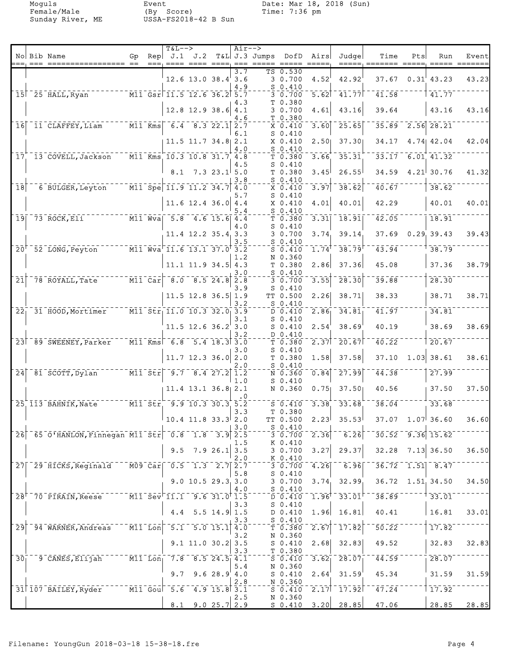Moguls Event Date: Mar 18, 2018 (Sun)

|                  |                                                                                                                                                                                                                                                                                                                                                                                                                                      |    |      | $T&L-->$                                                                                                 |                            |               | $Air--$ |                 |                                                                                                                   |                             |                                                    |                    |      |                           |       |
|------------------|--------------------------------------------------------------------------------------------------------------------------------------------------------------------------------------------------------------------------------------------------------------------------------------------------------------------------------------------------------------------------------------------------------------------------------------|----|------|----------------------------------------------------------------------------------------------------------|----------------------------|---------------|---------|-----------------|-------------------------------------------------------------------------------------------------------------------|-----------------------------|----------------------------------------------------|--------------------|------|---------------------------|-------|
|                  | No Bib Name                                                                                                                                                                                                                                                                                                                                                                                                                          | Gp | $==$ | $\mathsf{Rep} \mathsf{J.1}$                                                                              | J.2                        |               |         | $T&L$ J.3 Jumps | DofD                                                                                                              | Airs                        | Judge                                              | Time               | Pts  | Run                       | Event |
|                  |                                                                                                                                                                                                                                                                                                                                                                                                                                      |    |      |                                                                                                          | $12.6$ 13.0 38.4 3.6       |               | 3.7     |                 | TS 0.530<br>3 0.700                                                                                               | 4.52                        | 42.92                                              | 37.67              |      | 0.31' 43.23               | 43.23 |
|                  |                                                                                                                                                                                                                                                                                                                                                                                                                                      |    |      |                                                                                                          |                            |               | 4.9     |                 | $S_0.410$                                                                                                         |                             |                                                    |                    |      |                           |       |
|                  | $15$ <sup><math>-25</math></sup> $HALL$ , Ryan                                                                                                                                                                                                                                                                                                                                                                                       |    |      | $\overline{M11}$ $\overline{Gsr}$ $\overline{11.5}$ $\overline{12.6}$ $\overline{36.2}$ $\overline{5.7}$ |                            |               |         |                 | $3 - 0.700$                                                                                                       |                             | $\overline{5.62}$   41.77                          | 41.58              |      | 41.77                     |       |
|                  |                                                                                                                                                                                                                                                                                                                                                                                                                                      |    |      |                                                                                                          | $12.8$ 12.9 38.6 4.1       |               | 4.3     |                 | T 0.380<br>3 0.700                                                                                                | 4.61                        | 43.16                                              | 39.64              |      | 43.16                     | 43.16 |
| 16               | [11] CLAFFEY, Liam [11] Kms [6.4 8.3 22.1 2.7]                                                                                                                                                                                                                                                                                                                                                                                       |    |      |                                                                                                          |                            |               | 4.6     |                 | T 0.380<br>$X$ 0.410                                                                                              | $\overline{3.60}$           | $-25.65$                                           |                    |      | $35.89 - 2.56$ 28.21      |       |
|                  |                                                                                                                                                                                                                                                                                                                                                                                                                                      |    |      |                                                                                                          | $11.5$ $11.7$ $34.8$ $2.1$ |               | 6.1     |                 | $S_0.410$<br>X 0.410                                                                                              | 2.50                        | 37.30                                              | 34.17              |      | $4.74$ $42.04$            | 42.04 |
|                  |                                                                                                                                                                                                                                                                                                                                                                                                                                      |    |      |                                                                                                          |                            |               | 4.0     |                 | $S_0.410$                                                                                                         |                             |                                                    |                    |      |                           |       |
|                  | 17 13 COVELL, Jackson                                                                                                                                                                                                                                                                                                                                                                                                                |    |      | $\overline{M11}$ Kms 10.3 10.8 31.7 4.8                                                                  |                            |               | 4.5     |                 | T 0.380<br>$S_0.410$                                                                                              | 3.66                        | 35.31                                              |                    |      | $33.17$ 6.01 41.32        |       |
|                  |                                                                                                                                                                                                                                                                                                                                                                                                                                      |    |      | 8.1                                                                                                      |                            | $7.323.1$ 5.0 | 3.8     |                 | T 0.380<br>$S_0.410$                                                                                              | 3.45                        | 26.55                                              | 34.59              |      | $4.21$ 30.76              | 41.32 |
| $\overline{18}$  | 6 BULGER, Leyton M11 Spe 11.9 11.2 34.7 4.0                                                                                                                                                                                                                                                                                                                                                                                          |    |      |                                                                                                          |                            |               |         |                 | X 0.410<br>$S_0.410$                                                                                              | 3.97                        | 38.62                                              | $\overline{40.67}$ |      | 38.62                     |       |
|                  |                                                                                                                                                                                                                                                                                                                                                                                                                                      |    |      |                                                                                                          | $11.6$ 12.4 36.0 4.4       |               | 5.7     |                 | X 0.410                                                                                                           | 4.01                        | 40.01                                              | 42.29              |      | 40.01                     | 40.01 |
|                  | $\overline{M1}$ $\overline{W}$ $\overline{u}$ $\overline{u}$ $\overline{v}$ $\overline{a}$ $\overline{u}$ $\overline{u}$ $\overline{u}$ $\overline{u}$ $\overline{u}$ $\overline{u}$ $\overline{u}$ $\overline{u}$ $\overline{u}$ $\overline{u}$ $\overline{u}$ $\overline{u}$ $\overline{u}$ $\overline{u}$ $\overline{u}$ $\overline{u}$ $\overline{u}$ $\overline{u}$ $\overline{$<br>$19$ <sup>-73</sup> ROCK, Eli <sup>--</sup> |    |      |                                                                                                          |                            |               | 5.4     |                 | $S_0.410$<br>T 0.380                                                                                              | 3.31                        | 18.91                                              | $\overline{42.05}$ |      | 18.91                     |       |
|                  |                                                                                                                                                                                                                                                                                                                                                                                                                                      |    |      |                                                                                                          | 11.4 12.2 35.4 3.3         |               | 4.0     |                 | $S_0.410$<br>3 0.700                                                                                              | 3.74                        | 39.14                                              | 37.69              |      | 0.29, 39.43               | 39.43 |
|                  |                                                                                                                                                                                                                                                                                                                                                                                                                                      |    |      |                                                                                                          |                            |               | 3.5     |                 | $S_0.410$                                                                                                         |                             |                                                    |                    |      |                           |       |
|                  | 20 <sup>+</sup> 52 LONG, Peyton M11 Wva <sup>-11.6</sup> 13.1 37.0 <sup>+</sup> 3.2                                                                                                                                                                                                                                                                                                                                                  |    |      |                                                                                                          |                            |               | 1.2     |                 | $S \ 0.410$<br>N 0.360                                                                                            | $\overline{1.74}^{\dagger}$ | $-38.79$                                           | $\overline{43.94}$ |      | 38.79                     |       |
|                  |                                                                                                                                                                                                                                                                                                                                                                                                                                      |    |      |                                                                                                          | $11.1$ 11.9 34.5 4.3       |               |         |                 | T 0.380                                                                                                           | 2.86                        | 37.36                                              | 45.08              |      | 37.36                     | 38.79 |
| $\overline{21}$  | $78$ ROYALL, Tate $78$ M11 Car                                                                                                                                                                                                                                                                                                                                                                                                       |    |      |                                                                                                          | $-8.0$ $-8.5$ 24.8 2.8     |               | 3.0     |                 | $S_0.410$<br>30.700                                                                                               | 3.55                        | 28.30                                              | 39.88              |      | 28.30                     |       |
|                  |                                                                                                                                                                                                                                                                                                                                                                                                                                      |    |      |                                                                                                          | $11.5$ 12.8 36.5 1.9       |               | 3.9     |                 | $S_0.410$<br>TT 0.500                                                                                             | 2.26                        | 38.71                                              | 38.33              |      | 38.71                     | 38.71 |
| 22 <sub>1</sub>  | 31 HOOD, Mortimer M11 Str 11.0 10.3 32.0 3.9                                                                                                                                                                                                                                                                                                                                                                                         |    |      |                                                                                                          |                            |               | 3.2     |                 | $S$ 0.410<br>D 0.410                                                                                              | 2.86                        | 34.81                                              | 41.97              |      | 34.81                     |       |
|                  |                                                                                                                                                                                                                                                                                                                                                                                                                                      |    |      |                                                                                                          | $11.5$ 12.6 36.2 3.0       |               | 3.1     |                 | $S_0.410$<br>$S_0.410$                                                                                            | 2.54                        | 38.69                                              | 40.19              |      | 38.69                     | 38.69 |
|                  |                                                                                                                                                                                                                                                                                                                                                                                                                                      |    |      |                                                                                                          |                            |               | 3.2     |                 | D 0.410                                                                                                           |                             |                                                    |                    |      |                           |       |
|                  | 23 89 SWEENEY, Parker                                                                                                                                                                                                                                                                                                                                                                                                                |    |      | $\overline{M11}$ Kms 6.8 5.4 18.3 3.0                                                                    |                            |               | 3.0     |                 | T <sub>0.380</sub><br>$S_0.410$                                                                                   |                             | $\sqrt{2.37}$ <sup>-</sup> 20.67                   | 40.22              |      | 20.67                     |       |
|                  |                                                                                                                                                                                                                                                                                                                                                                                                                                      |    |      |                                                                                                          | $11.7$ 12.3 36.0 2.0       |               | 2.0     |                 | T 0.380<br>$S_0.410$                                                                                              | 1.58                        | 37.58                                              | 37.10              | 1.03 | 38.61                     | 38.61 |
| 24               |                                                                                                                                                                                                                                                                                                                                                                                                                                      |    |      |                                                                                                          |                            |               | 1.0     |                 | $\overline{N}$ 0.360<br>$S_0.410$                                                                                 | $\overline{0.84}$           | $-27.99$                                           | $\overline{41.38}$ |      | 27.99                     |       |
|                  |                                                                                                                                                                                                                                                                                                                                                                                                                                      |    |      |                                                                                                          | $11.4$ 13.1 36.8 2.1       |               |         |                 | N 0.360                                                                                                           | 0.75                        | 37.50                                              | 40.56              |      | 37.50                     | 37.50 |
|                  | 25 113 BAHNIK, Nate ______ M11 Str 9.9 10.3 30.3 5.2                                                                                                                                                                                                                                                                                                                                                                                 |    |      |                                                                                                          |                            |               |         |                 | $S - 0.410$                                                                                                       | 3.38                        | 33.68                                              | 38.04              |      | 33.68                     |       |
|                  |                                                                                                                                                                                                                                                                                                                                                                                                                                      |    |      |                                                                                                          | $10.4$ 11.8 33.3 2.0       |               | 3.3     |                 | T 0.380<br>TT 0.500                                                                                               |                             | $2.23^{\dagger}$ 35.53                             |                    |      | $37.07$ 1.07 36.60        | 36.60 |
|                  | 26 65 0 HANLON, Finnegan M11 Str 0.8 1.8 3.9 2.5                                                                                                                                                                                                                                                                                                                                                                                     |    |      |                                                                                                          |                            |               | 3.0     |                 | $S_0.410$<br>$\frac{-}{3}$ $\frac{1}{0}$ , $\frac{1}{7}$ $\frac{1}{0}$ $\frac{1}{0}$                              |                             | $\overline{2.36}$ $\overline{6.26}$ $\overline{6}$ |                    |      | $-30.52 - 9.36$ 15.62     |       |
|                  |                                                                                                                                                                                                                                                                                                                                                                                                                                      |    |      |                                                                                                          |                            |               | 1.5     |                 | K 0.410                                                                                                           |                             |                                                    |                    |      |                           |       |
|                  |                                                                                                                                                                                                                                                                                                                                                                                                                                      |    |      |                                                                                                          | $9.5$ 7.9 26.1 3.5         |               | 2.0     |                 | 30.700<br>K 0.410                                                                                                 |                             | $3.27$ 29.37                                       |                    |      | $32.28$ $7.13$ $36.50$    | 36.50 |
|                  | 27 29 HICKS, Reginald M09 Car 0.5 1.3 2.7 2.7                                                                                                                                                                                                                                                                                                                                                                                        |    |      |                                                                                                          |                            |               |         |                 | $\overline{3}\,\overline{0}\,\overline{.}\,\overline{7}\,\overline{0}\,\overline{0}$ $\overline{0}\,\overline{.}$ | 4.26                        | $^{-1}$ 6.96 $ $                                   |                    |      | $36.72 - 1.51 - 8.47$     |       |
|                  |                                                                                                                                                                                                                                                                                                                                                                                                                                      |    |      |                                                                                                          | $9.0$ 10.5 29.3 3.0        |               | 5.8     |                 | $S_0.410$<br>30.700                                                                                               |                             | 3.74, 32.99                                        |                    |      | $36.72 \quad 1.51, 34.50$ | 34.50 |
|                  | 28 <sup>+-70</sup> PIRAIN, Reese M11 Sev <sup>-</sup> 11.1 9.6 31.0 <sup>+</sup> 1.5                                                                                                                                                                                                                                                                                                                                                 |    |      |                                                                                                          |                            |               | 4.0     |                 | $S_0.410$<br>$\overline{D}$ $\overline{0.410}$ $\overline{0}$                                                     |                             | $1.96$ <sup>† -</sup> 33.01 <sup>⊦-</sup>          |                    |      | $-38.89$ $   +$ $33.01$   |       |
|                  |                                                                                                                                                                                                                                                                                                                                                                                                                                      |    |      |                                                                                                          | 4.4 $5.5$ 14.9 1.5         |               | 3.3     |                 | $S_0.410$<br>$D$ 0.410                                                                                            |                             | $1.96$ 16.81                                       | 40.41              |      | 16.81                     | 33.01 |
|                  | 94 WARNER, Andreas M11 Lon 5.1 5.0 15.1 4.0                                                                                                                                                                                                                                                                                                                                                                                          |    |      |                                                                                                          |                            |               | 3.3     |                 | S 0.410                                                                                                           |                             |                                                    |                    |      |                           |       |
| $\overline{29}$  |                                                                                                                                                                                                                                                                                                                                                                                                                                      |    |      |                                                                                                          |                            |               | 3.2     |                 | T 0.380<br>N 0.360                                                                                                |                             | $\overline{2.67}$ <sup>-</sup> 17.82               | $50.22^{--}$       |      | 17.82                     |       |
|                  |                                                                                                                                                                                                                                                                                                                                                                                                                                      |    |      |                                                                                                          | $9.1$ 11.0 30.2 3.5        |               | 3.3     |                 | S <sub>0.410</sub><br>T 0.380                                                                                     |                             | $2.68$ 32.83                                       | 49.52              |      | 32.83                     | 32.83 |
| $\bar{3}\bar{0}$ |                                                                                                                                                                                                                                                                                                                                                                                                                                      |    |      |                                                                                                          |                            |               | 5.4     |                 | S 0.410<br>N 0.360                                                                                                |                             | $3.62$ <sup>-28.07</sup>                           | $\overline{44.59}$ |      | 28.07                     |       |
|                  |                                                                                                                                                                                                                                                                                                                                                                                                                                      |    |      | 9.7                                                                                                      |                            | 9.628.94.0    |         |                 | S <sub>0.410</sub>                                                                                                | 2.64'                       | 31.59                                              | 45.34              |      | 31.59                     | 31.59 |
|                  | 31 107 BAILEY, Ryder M11 Goul 5.6 4.9 15.8 3.1                                                                                                                                                                                                                                                                                                                                                                                       |    |      |                                                                                                          |                            |               | 2.8     |                 | N 0.360                                                                                                           |                             | $50.410 - 2.17 - 17.92$                            | 47.24              |      | 17.92                     |       |
|                  |                                                                                                                                                                                                                                                                                                                                                                                                                                      |    |      |                                                                                                          | $8.1$ 9.0 25.7 2.9         |               | 2.5     |                 | N 0.360                                                                                                           |                             | $S$ 0.410 3.20 28.85                               | 47.06              |      | 28.85                     | 28.85 |